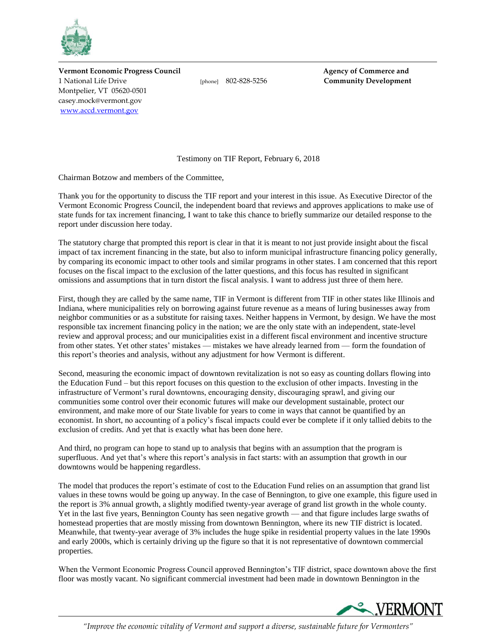

**Vermont Economic Progress Council Agency of Commerce and** 1 National Life Drive [phone] 802-828-5256 **Community Development** Montpelier, VT 05620-0501 casey.mock@vermont.gov [www.accd.vermont.gov](http://www.accd.vermont.gov/)

Testimony on TIF Report, February 6, 2018

Chairman Botzow and members of the Committee,

Thank you for the opportunity to discuss the TIF report and your interest in this issue. As Executive Director of the Vermont Economic Progress Council, the independent board that reviews and approves applications to make use of state funds for tax increment financing, I want to take this chance to briefly summarize our detailed response to the report under discussion here today.

The statutory charge that prompted this report is clear in that it is meant to not just provide insight about the fiscal impact of tax increment financing in the state, but also to inform municipal infrastructure financing policy generally, by comparing its economic impact to other tools and similar programs in other states. I am concerned that this report focuses on the fiscal impact to the exclusion of the latter questions, and this focus has resulted in significant omissions and assumptions that in turn distort the fiscal analysis. I want to address just three of them here.

First, though they are called by the same name, TIF in Vermont is different from TIF in other states like Illinois and Indiana, where municipalities rely on borrowing against future revenue as a means of luring businesses away from neighbor communities or as a substitute for raising taxes. Neither happens in Vermont, by design. We have the most responsible tax increment financing policy in the nation; we are the only state with an independent, state-level review and approval process; and our municipalities exist in a different fiscal environment and incentive structure from other states. Yet other states' mistakes — mistakes we have already learned from — form the foundation of this report's theories and analysis, without any adjustment for how Vermont is different.

Second, measuring the economic impact of downtown revitalization is not so easy as counting dollars flowing into the Education Fund – but this report focuses on this question to the exclusion of other impacts. Investing in the infrastructure of Vermont's rural downtowns, encouraging density, discouraging sprawl, and giving our communities some control over their economic futures will make our development sustainable, protect our environment, and make more of our State livable for years to come in ways that cannot be quantified by an economist. In short, no accounting of a policy's fiscal impacts could ever be complete if it only tallied debits to the exclusion of credits. And yet that is exactly what has been done here.

And third, no program can hope to stand up to analysis that begins with an assumption that the program is superfluous. And yet that's where this report's analysis in fact starts: with an assumption that growth in our downtowns would be happening regardless.

The model that produces the report's estimate of cost to the Education Fund relies on an assumption that grand list values in these towns would be going up anyway. In the case of Bennington, to give one example, this figure used in the report is 3% annual growth, a slightly modified twenty-year average of grand list growth in the whole county. Yet in the last five years, Bennington County has seen negative growth — and that figure includes large swaths of homestead properties that are mostly missing from downtown Bennington, where its new TIF district is located. Meanwhile, that twenty-year average of 3% includes the huge spike in residential property values in the late 1990s and early 2000s, which is certainly driving up the figure so that it is not representative of downtown commercial properties.

When the Vermont Economic Progress Council approved Bennington's TIF district, space downtown above the first floor was mostly vacant. No significant commercial investment had been made in downtown Bennington in the



*"Improve the economic vitality of Vermont and support a diverse, sustainable future for Vermonters"*